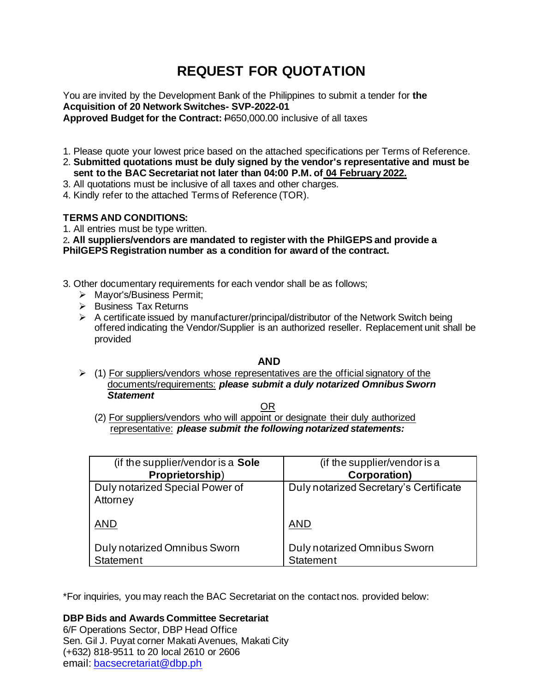# **REQUEST FOR QUOTATION**

You are invited by the Development Bank of the Philippines to submit a tender for **the Acquisition of 20 Network Switches- SVP-2022-01 Approved Budget for the Contract:** P650,000.00 inclusive of all taxes

- 1. Please quote your lowest price based on the attached specifications per Terms of Reference.
- 2. **Submitted quotations must be duly signed by the vendor's representative and must be sent to the BAC Secretariat not later than 04:00 P.M. of 04 February 2022.**
- 3. All quotations must be inclusive of all taxes and other charges.
- 4. Kindly refer to the attached Terms of Reference (TOR).

# **TERMS AND CONDITIONS:**

1. All entries must be type written.

2**. All suppliers/vendors are mandated to register with the PhilGEPS and provide a PhilGEPS Registration number as a condition for award of the contract.**

- 3. Other documentary requirements for each vendor shall be as follows;
	- ➢ Mayor's/Business Permit;
	- ➢ Business Tax Returns
	- $\triangleright$  A certificate issued by manufacturer/principal/distributor of the Network Switch being offered indicating the Vendor/Supplier is an authorized reseller. Replacement unit shall be provided

# **AND**

 $\geq$  (1) For suppliers/vendors whose representatives are the official signatory of the documents/requirements: *please submit a duly notarized Omnibus Sworn Statement*

**OR** Service Service Service Service Service Service Service Service Service Service Service Service Service Service Service Service Service Service Service Service Service Service Service Service Service Service Service S

(2) For suppliers/vendors who will appoint or designate their duly authorized representative: *please submit the following notarized statements:*

| (if the supplier/vendor is a Sole           | (if the supplier/vendor is a                     |
|---------------------------------------------|--------------------------------------------------|
| Proprietorship)                             | <b>Corporation)</b>                              |
| Duly notarized Special Power of<br>Attorney | Duly notarized Secretary's Certificate           |
| <b>AND</b>                                  | <b>AND</b>                                       |
| Duly notarized Omnibus Sworn<br>Statement   | Duly notarized Omnibus Sworn<br><b>Statement</b> |

\*For inquiries, you may reach the BAC Secretariat on the contact nos. provided below:

# **DBP Bids and Awards Committee Secretariat**

6/F Operations Sector, DBP Head Office Sen. Gil J. Puyat corner Makati Avenues, Makati City (+632) 818-9511 to 20 local 2610 or 2606 email: [bacsecretariat@dbp.ph](mailto:bacsecretariat@dbp.ph)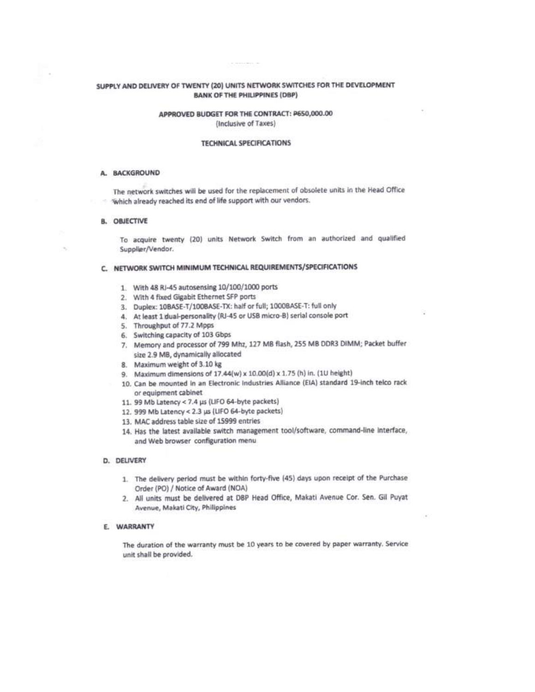# SUPPLY AND DELIVERY OF TWENTY (20) UNITS NETWORK SWITCHES FOR THE DEVELOPMENT **BANK OF THE PHILIPPINES (DBP)**

# APPROVED BUDGET FOR THE CONTRACT: P650,000.00 (Inclusive of Taxes)

## **TECHNICAL SPECIFICATIONS**

#### A. BACKGROUND

The network switches will be used for the replacement of obsolete units in the Head Office Which already reached its end of life support with our vendors.

#### **B. OBJECTIVE**

To acquire twenty (20) units Network Switch from an authorized and qualified Supplier/Vendor.

#### C. NETWORK SWITCH MINIMUM TECHNICAL REQUIREMENTS/SPECIFICATIONS

- 1. With 48 RJ-45 autosensing 10/100/1000 ports
- 2. With 4 fixed Gigabit Ethernet SFP ports
- 3. Duplex: 10BASE-T/100BASE-TX: half or full; 1000BASE-T: full only
- 4. At least 1 dual-personality (RJ-45 or USB micro-B) serial console port
- 5. Throughput of 77.2 Mpps
- 6. Switching capacity of 103 Gbps
- 7. Memory and processor of 799 Mhz, 127 MB flash, 255 MB DDR3 DIMM; Packet buffer size 2.9 MB, dynamically allocated
- 8. Maximum weight of 3.10 kg
- 9. Maximum dimensions of 17.44(w) x 10.00(d) x 1.75 (h) in. (1U height)
- 10. Can be mounted in an Electronic Industries Alliance (EIA) standard 19-inch telco rack or equipment cabinet
- 11. 99 Mb Latency < 7.4 µs (LIFO 64-byte packets)
- 12. 999 Mb Latency < 2.3 µs (LIFO 64-byte packets)
- 13. MAC address table size of 15999 entries
- 14. Has the latest available switch management tool/software, command-line interface, and Web browser configuration menu

## D. DELIVERY

- 1. The delivery period must be within forty-five (45) days upon receipt of the Purchase Order (PO) / Notice of Award (NOA)
- 2. All units must be delivered at DBP Head Office, Makati Avenue Cor. Sen. Gil Puyat Avenue, Makati City, Philippines

#### E. WARRANTY

The duration of the warranty must be 10 years to be covered by paper warranty. Service unit shall be provided.